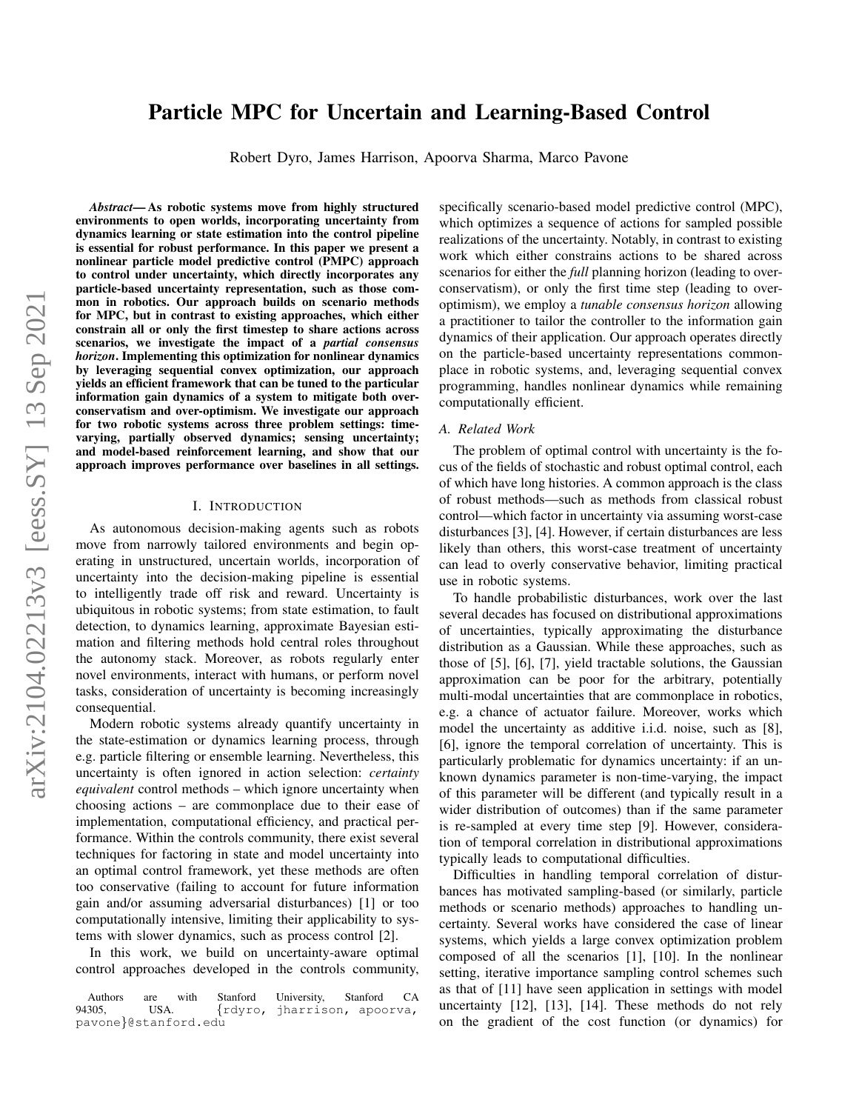# Particle MPC for Uncertain and Learning-Based Control

Robert Dyro, James Harrison, Apoorva Sharma, Marco Pavone

*Abstract*— As robotic systems move from highly structured environments to open worlds, incorporating uncertainty from dynamics learning or state estimation into the control pipeline is essential for robust performance. In this paper we present a nonlinear particle model predictive control (PMPC) approach to control under uncertainty, which directly incorporates any particle-based uncertainty representation, such as those common in robotics. Our approach builds on scenario methods for MPC, but in contrast to existing approaches, which either constrain all or only the first timestep to share actions across scenarios, we investigate the impact of a *partial consensus horizon*. Implementing this optimization for nonlinear dynamics by leveraging sequential convex optimization, our approach yields an efficient framework that can be tuned to the particular information gain dynamics of a system to mitigate both overconservatism and over-optimism. We investigate our approach for two robotic systems across three problem settings: timevarying, partially observed dynamics; sensing uncertainty; and model-based reinforcement learning, and show that our approach improves performance over baselines in all settings.

#### I. INTRODUCTION

As autonomous decision-making agents such as robots move from narrowly tailored environments and begin operating in unstructured, uncertain worlds, incorporation of uncertainty into the decision-making pipeline is essential to intelligently trade off risk and reward. Uncertainty is ubiquitous in robotic systems; from state estimation, to fault detection, to dynamics learning, approximate Bayesian estimation and filtering methods hold central roles throughout the autonomy stack. Moreover, as robots regularly enter novel environments, interact with humans, or perform novel tasks, consideration of uncertainty is becoming increasingly consequential.

Modern robotic systems already quantify uncertainty in the state-estimation or dynamics learning process, through e.g. particle filtering or ensemble learning. Nevertheless, this uncertainty is often ignored in action selection: *certainty equivalent* control methods – which ignore uncertainty when choosing actions – are commonplace due to their ease of implementation, computational efficiency, and practical performance. Within the controls community, there exist several techniques for factoring in state and model uncertainty into an optimal control framework, yet these methods are often too conservative (failing to account for future information gain and/or assuming adversarial disturbances) [1] or too computationally intensive, limiting their applicability to systems with slower dynamics, such as process control [2].

In this work, we build on uncertainty-aware optimal control approaches developed in the controls community, specifically scenario-based model predictive control (MPC), which optimizes a sequence of actions for sampled possible realizations of the uncertainty. Notably, in contrast to existing work which either constrains actions to be shared across scenarios for either the *full* planning horizon (leading to overconservatism), or only the first time step (leading to overoptimism), we employ a *tunable consensus horizon* allowing a practitioner to tailor the controller to the information gain dynamics of their application. Our approach operates directly on the particle-based uncertainty representations commonplace in robotic systems, and, leveraging sequential convex programming, handles nonlinear dynamics while remaining computationally efficient.

#### *A. Related Work*

The problem of optimal control with uncertainty is the focus of the fields of stochastic and robust optimal control, each of which have long histories. A common approach is the class of robust methods—such as methods from classical robust control—which factor in uncertainty via assuming worst-case disturbances [3], [4]. However, if certain disturbances are less likely than others, this worst-case treatment of uncertainty can lead to overly conservative behavior, limiting practical use in robotic systems.

To handle probabilistic disturbances, work over the last several decades has focused on distributional approximations of uncertainties, typically approximating the disturbance distribution as a Gaussian. While these approaches, such as those of [5], [6], [7], yield tractable solutions, the Gaussian approximation can be poor for the arbitrary, potentially multi-modal uncertainties that are commonplace in robotics, e.g. a chance of actuator failure. Moreover, works which model the uncertainty as additive i.i.d. noise, such as [8], [6], ignore the temporal correlation of uncertainty. This is particularly problematic for dynamics uncertainty: if an unknown dynamics parameter is non-time-varying, the impact of this parameter will be different (and typically result in a wider distribution of outcomes) than if the same parameter is re-sampled at every time step [9]. However, consideration of temporal correlation in distributional approximations typically leads to computational difficulties.

Difficulties in handling temporal correlation of disturbances has motivated sampling-based (or similarly, particle methods or scenario methods) approaches to handling uncertainty. Several works have considered the case of linear systems, which yields a large convex optimization problem composed of all the scenarios [1], [10]. In the nonlinear setting, iterative importance sampling control schemes such as that of [11] have seen application in settings with model uncertainty [12], [13], [14]. These methods do not rely on the gradient of the cost function (or dynamics) for

Authors are with Stanford University, Stanford CA<br>94305, USA. {rdyro, jharrison, apoorva, {rdyro, jharrison, apoorva, pavone}@stanford.edu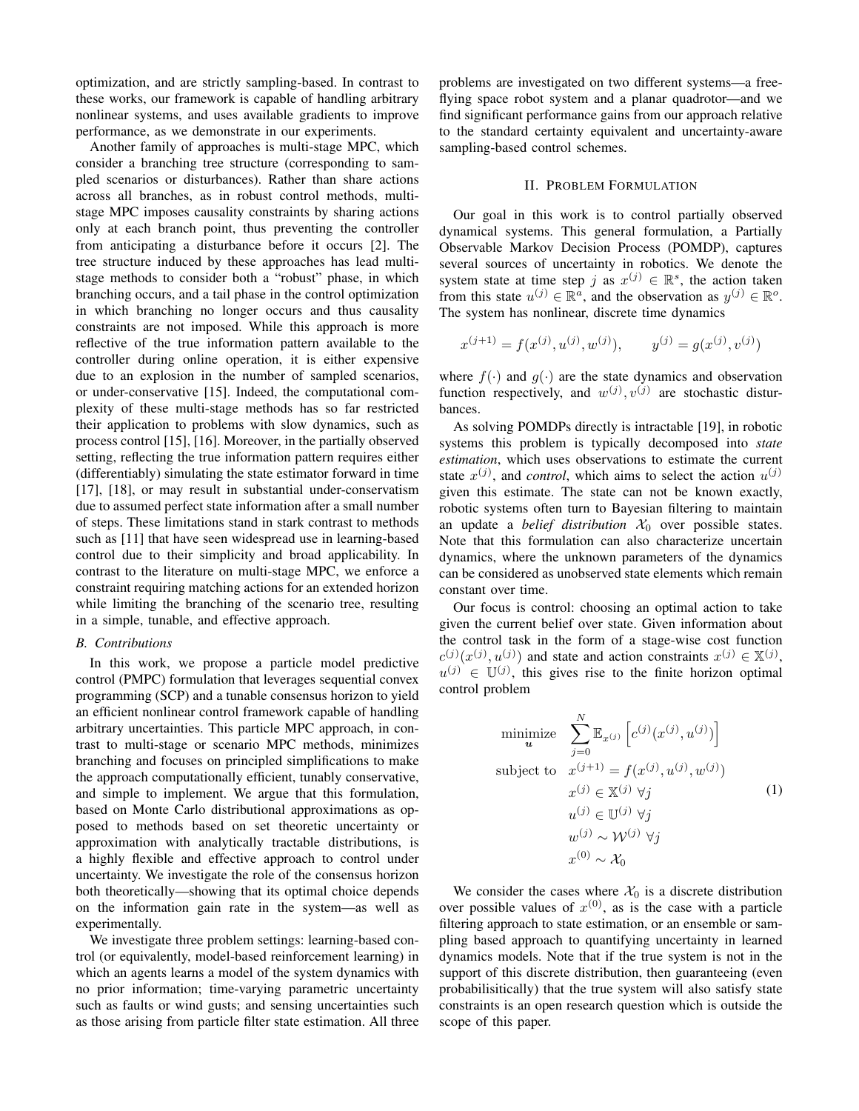optimization, and are strictly sampling-based. In contrast to these works, our framework is capable of handling arbitrary nonlinear systems, and uses available gradients to improve performance, as we demonstrate in our experiments.

Another family of approaches is multi-stage MPC, which consider a branching tree structure (corresponding to sampled scenarios or disturbances). Rather than share actions across all branches, as in robust control methods, multistage MPC imposes causality constraints by sharing actions only at each branch point, thus preventing the controller from anticipating a disturbance before it occurs [2]. The tree structure induced by these approaches has lead multistage methods to consider both a "robust" phase, in which branching occurs, and a tail phase in the control optimization in which branching no longer occurs and thus causality constraints are not imposed. While this approach is more reflective of the true information pattern available to the controller during online operation, it is either expensive due to an explosion in the number of sampled scenarios, or under-conservative [15]. Indeed, the computational complexity of these multi-stage methods has so far restricted their application to problems with slow dynamics, such as process control [15], [16]. Moreover, in the partially observed setting, reflecting the true information pattern requires either (differentiably) simulating the state estimator forward in time [17], [18], or may result in substantial under-conservatism due to assumed perfect state information after a small number of steps. These limitations stand in stark contrast to methods such as [11] that have seen widespread use in learning-based control due to their simplicity and broad applicability. In contrast to the literature on multi-stage MPC, we enforce a constraint requiring matching actions for an extended horizon while limiting the branching of the scenario tree, resulting in a simple, tunable, and effective approach.

#### *B. Contributions*

In this work, we propose a particle model predictive control (PMPC) formulation that leverages sequential convex programming (SCP) and a tunable consensus horizon to yield an efficient nonlinear control framework capable of handling arbitrary uncertainties. This particle MPC approach, in contrast to multi-stage or scenario MPC methods, minimizes branching and focuses on principled simplifications to make the approach computationally efficient, tunably conservative, and simple to implement. We argue that this formulation, based on Monte Carlo distributional approximations as opposed to methods based on set theoretic uncertainty or approximation with analytically tractable distributions, is a highly flexible and effective approach to control under uncertainty. We investigate the role of the consensus horizon both theoretically—showing that its optimal choice depends on the information gain rate in the system—as well as experimentally.

We investigate three problem settings: learning-based control (or equivalently, model-based reinforcement learning) in which an agents learns a model of the system dynamics with no prior information; time-varying parametric uncertainty such as faults or wind gusts; and sensing uncertainties such as those arising from particle filter state estimation. All three

problems are investigated on two different systems—a freeflying space robot system and a planar quadrotor—and we find significant performance gains from our approach relative to the standard certainty equivalent and uncertainty-aware sampling-based control schemes.

#### II. PROBLEM FORMULATION

Our goal in this work is to control partially observed dynamical systems. This general formulation, a Partially Observable Markov Decision Process (POMDP), captures several sources of uncertainty in robotics. We denote the system state at time step j as  $x^{(j)} \in \mathbb{R}^s$ , the action taken from this state  $u^{(j)} \in \mathbb{R}^{\tilde{a}}$ , and the observation as  $y^{(j)} \in \mathbb{R}^{\circ}$ . The system has nonlinear, discrete time dynamics

$$
x^{(j+1)} = f(x^{(j)}, u^{(j)}, w^{(j)}), \qquad y^{(j)} = g(x^{(j)}, v^{(j)})
$$

where  $f(\cdot)$  and  $g(\cdot)$  are the state dynamics and observation function respectively, and  $w^{(j)}$ ,  $v^{(j)}$  are stochastic disturbances.

As solving POMDPs directly is intractable [19], in robotic systems this problem is typically decomposed into *state estimation*, which uses observations to estimate the current state  $x^{(j)}$ , and *control*, which aims to select the action  $u^{(j)}$ given this estimate. The state can not be known exactly, robotic systems often turn to Bayesian filtering to maintain an update a *belief distribution*  $X_0$  over possible states. Note that this formulation can also characterize uncertain dynamics, where the unknown parameters of the dynamics can be considered as unobserved state elements which remain constant over time.

Our focus is control: choosing an optimal action to take given the current belief over state. Given information about the control task in the form of a stage-wise cost function  $c^{(j)}(x^{(j)}, u^{(j)})$  and state and action constraints  $x^{(j)} \in \mathbb{X}^{(j)}$ ,  $u^{(j)} \in \mathbb{U}^{(j)}$ , this gives rise to the finite horizon optimal control problem

<span id="page-1-0"></span>
$$
\begin{aligned}\n\text{minimize} & \sum_{j=0}^{N} \mathbb{E}_{x^{(j)}} \left[ c^{(j)}(x^{(j)}, u^{(j)}) \right] \\
\text{subject to} & \quad x^{(j+1)} = f(x^{(j)}, u^{(j)}, w^{(j)}) \\
& x^{(j)} \in \mathbb{X}^{(j)} \; \forall j \\
& u^{(j)} \in \mathbb{U}^{(j)} \; \forall j \\
& w^{(j)} \sim \mathcal{W}^{(j)} \; \forall j \\
& x^{(0)} \sim \mathcal{X}_0\n\end{aligned} \tag{1}
$$

We consider the cases where  $\mathcal{X}_0$  is a discrete distribution over possible values of  $x^{(0)}$ , as is the case with a particle filtering approach to state estimation, or an ensemble or sampling based approach to quantifying uncertainty in learned dynamics models. Note that if the true system is not in the support of this discrete distribution, then guaranteeing (even probabilisitically) that the true system will also satisfy state constraints is an open research question which is outside the scope of this paper.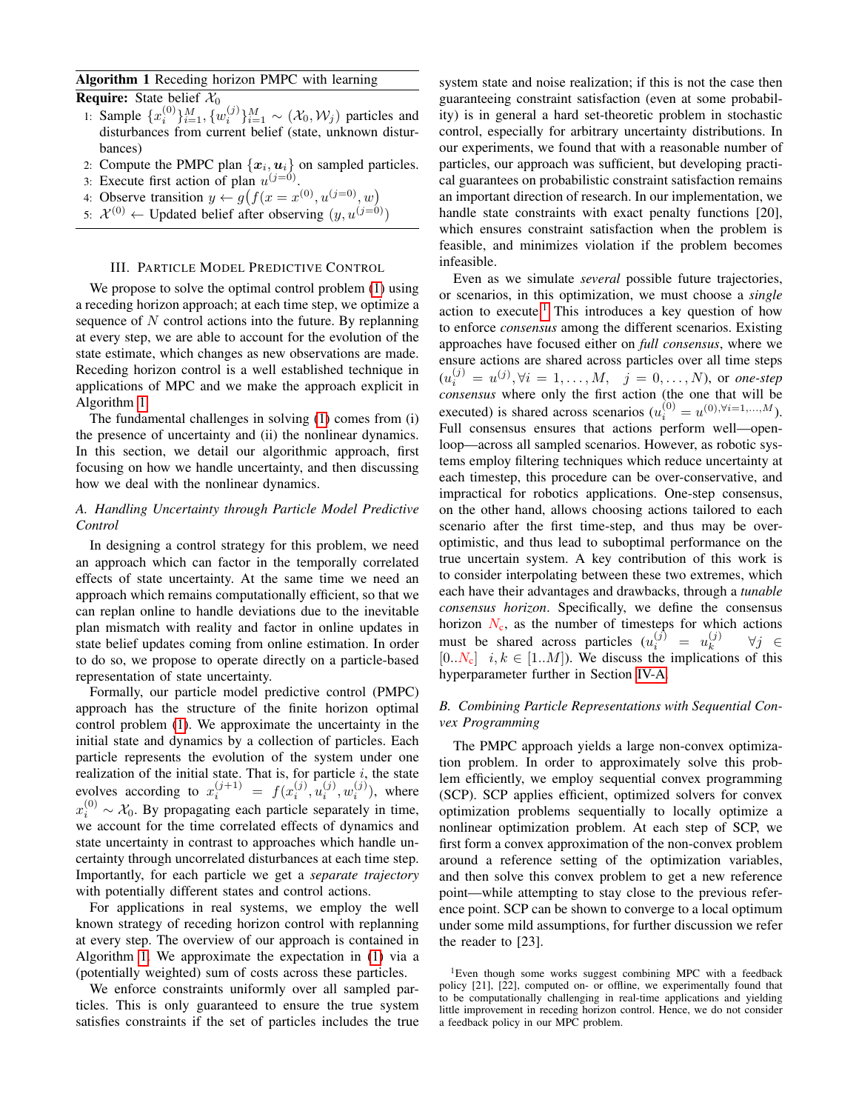# <span id="page-2-0"></span>Algorithm 1 Receding horizon PMPC with learning

**Require:** State belief  $\mathcal{X}_0$ 

- 1: Sample  $\{x_i^{(0)}\}_{i=1}^M$ ,  $\{w_i^{(j)}\}_{i=1}^M \sim (\mathcal{X}_0, \mathcal{W}_j)$  particles and disturbances from current belief (state, unknown disturbances)
- 2: Compute the PMPC plan  $\{x_i, u_i\}$  on sampled particles.
- 3: Execute first action of plan  $u^{(j=0)}$ .
- 4: Observe transition  $y \leftarrow g(f(x = x^{(0)}, u^{(j=0)}, w))$
- 5:  $\mathcal{X}^{(0)} \leftarrow$  Updated belief after observing  $(y, u^{(j=0)})$

## III. PARTICLE MODEL PREDICTIVE CONTROL

We propose to solve the optimal control problem  $(1)$  using a receding horizon approach; at each time step, we optimize a sequence of  $N$  control actions into the future. By replanning at every step, we are able to account for the evolution of the state estimate, which changes as new observations are made. Receding horizon control is a well established technique in applications of MPC and we make the approach explicit in Algorithm [1.](#page-2-0)

The fundamental challenges in solving [\(1\)](#page-1-0) comes from (i) the presence of uncertainty and (ii) the nonlinear dynamics. In this section, we detail our algorithmic approach, first focusing on how we handle uncertainty, and then discussing how we deal with the nonlinear dynamics.

# *A. Handling Uncertainty through Particle Model Predictive Control*

In designing a control strategy for this problem, we need an approach which can factor in the temporally correlated effects of state uncertainty. At the same time we need an approach which remains computationally efficient, so that we can replan online to handle deviations due to the inevitable plan mismatch with reality and factor in online updates in state belief updates coming from online estimation. In order to do so, we propose to operate directly on a particle-based representation of state uncertainty.

Formally, our particle model predictive control (PMPC) approach has the structure of the finite horizon optimal control problem [\(1\)](#page-1-0). We approximate the uncertainty in the initial state and dynamics by a collection of particles. Each particle represents the evolution of the system under one realization of the initial state. That is, for particle  $i$ , the state evolves according to  $x_i^{(j+1)} = f(x_i^{(j)}, u_i^{(j)}, w_i^{(j)})$ , where  $x_i^{(0)} \sim \mathcal{X}_0$ . By propagating each particle separately in time, we account for the time correlated effects of dynamics and state uncertainty in contrast to approaches which handle uncertainty through uncorrelated disturbances at each time step. Importantly, for each particle we get a *separate trajectory* with potentially different states and control actions.

For applications in real systems, we employ the well known strategy of receding horizon control with replanning at every step. The overview of our approach is contained in Algorithm [1.](#page-2-0) We approximate the expectation in [\(1\)](#page-1-0) via a (potentially weighted) sum of costs across these particles.

We enforce constraints uniformly over all sampled particles. This is only guaranteed to ensure the true system satisfies constraints if the set of particles includes the true system state and noise realization; if this is not the case then guaranteeing constraint satisfaction (even at some probability) is in general a hard set-theoretic problem in stochastic control, especially for arbitrary uncertainty distributions. In our experiments, we found that with a reasonable number of particles, our approach was sufficient, but developing practical guarantees on probabilistic constraint satisfaction remains an important direction of research. In our implementation, we handle state constraints with exact penalty functions [20], which ensures constraint satisfaction when the problem is feasible, and minimizes violation if the problem becomes infeasible.

Even as we simulate *several* possible future trajectories, or scenarios, in this optimization, we must choose a *single* action to execute.<sup>[1](#page-2-1)</sup> This introduces a key question of how to enforce *consensus* among the different scenarios. Existing approaches have focused either on *full consensus*, where we ensure actions are shared across particles over all time steps  $(u_i^{(j)} = u^{(j)}, \forall i = 1, ..., M, \quad j = 0, ..., N)$ , or *one-step consensus* where only the first action (the one that will be executed) is shared across scenarios ( $u_i^{(0)} = u^{(0), \forall i=1,...,M}$ ). Full consensus ensures that actions perform well—openloop—across all sampled scenarios. However, as robotic systems employ filtering techniques which reduce uncertainty at each timestep, this procedure can be over-conservative, and impractical for robotics applications. One-step consensus, on the other hand, allows choosing actions tailored to each scenario after the first time-step, and thus may be overoptimistic, and thus lead to suboptimal performance on the true uncertain system. A key contribution of this work is to consider interpolating between these two extremes, which each have their advantages and drawbacks, through a *tunable consensus horizon*. Specifically, we define the consensus horizon  $N_c$ , as the number of timesteps for which actions must be shared across particles  $(u_i^{(j)} = u_k^{(j)})$ k ∀j ∈  $[0..N_c]$  *i*,  $k \in [1..M]$ ). We discuss the implications of this hyperparameter further in Section [IV-A.](#page-3-0)

## *B. Combining Particle Representations with Sequential Convex Programming*

The PMPC approach yields a large non-convex optimization problem. In order to approximately solve this problem efficiently, we employ sequential convex programming (SCP). SCP applies efficient, optimized solvers for convex optimization problems sequentially to locally optimize a nonlinear optimization problem. At each step of SCP, we first form a convex approximation of the non-convex problem around a reference setting of the optimization variables, and then solve this convex problem to get a new reference point—while attempting to stay close to the previous reference point. SCP can be shown to converge to a local optimum under some mild assumptions, for further discussion we refer the reader to [23].

<span id="page-2-1"></span><sup>1</sup>Even though some works suggest combining MPC with a feedback policy [21], [22], computed on- or offline, we experimentally found that to be computationally challenging in real-time applications and yielding little improvement in receding horizon control. Hence, we do not consider a feedback policy in our MPC problem.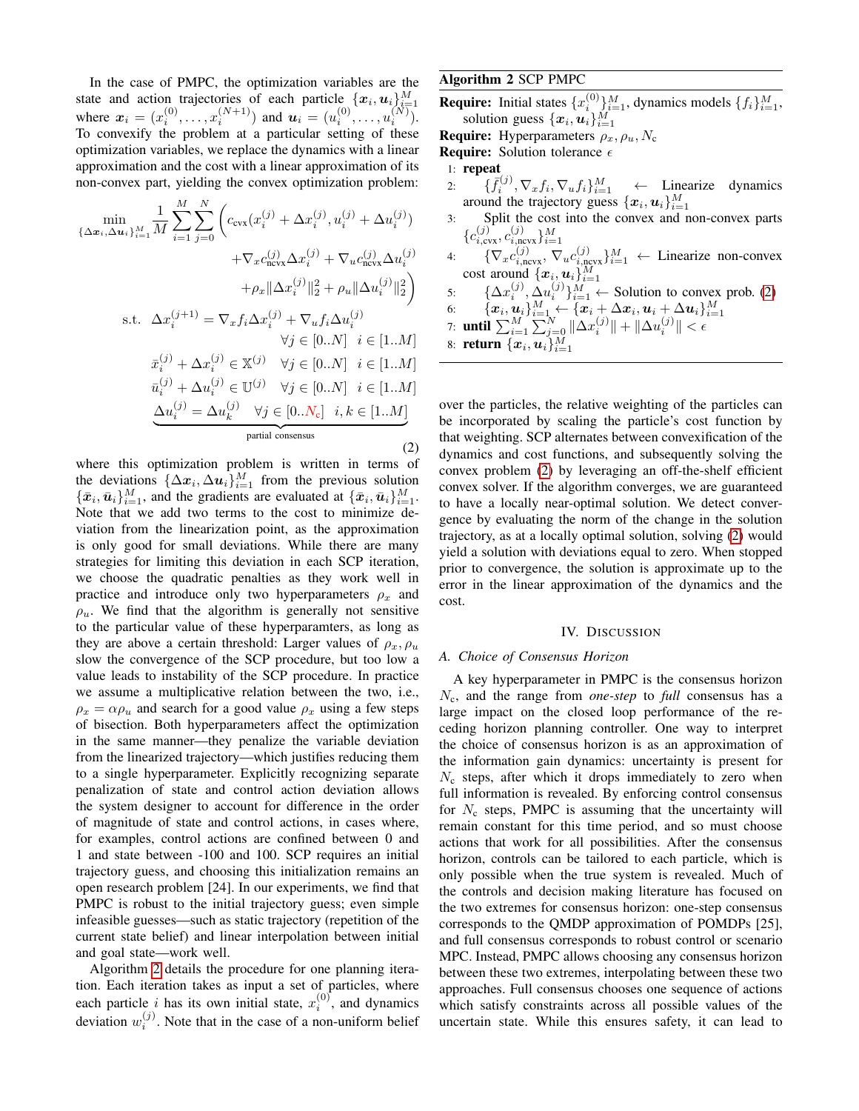In the case of PMPC, the optimization variables are the state and action trajectories of each particle  $\{x_i, u_i\}_{i=1}^M$ where  $x_i = (x_i^{(0)}, \dots, x_i^{(N+1)})$  and  $u_i = (u_i^{(0)}, \dots, u_i^{(N)})$ . To convexify the problem at a particular setting of these optimization variables, we replace the dynamics with a linear approximation and the cost with a linear approximation of its non-convex part, yielding the convex optimization problem:

<span id="page-3-2"></span>
$$
\min_{\{\Delta x_i, \Delta u_i\}_{i=1}^M} \frac{1}{M} \sum_{i=1}^M \sum_{j=0}^N \left( c_{\text{cvx}}(x_i^{(j)} + \Delta x_i^{(j)}, u_i^{(j)} + \Delta u_i^{(j)}) \n+ \nabla_x c_{\text{ncvx}}^{(j)} \Delta x_i^{(j)} + \nabla_u c_{\text{ncvx}}^{(j)} \Delta u_i^{(j)} \right. \n+ \rho_x \|\Delta x_i^{(j)}\|_2^2 + \rho_u \|\Delta u_i^{(j)}\|_2^2 \right)
$$
\ns.t.  $\Delta x_i^{(j+1)} = \nabla_x f_i \Delta x_i^{(j)} + \nabla_u f_i \Delta u_i^{(j)} \n\forall j \in [0..N] \quad i \in [1..M] \n\bar{x}_i^{(j)} + \Delta x_i^{(j)} \in \mathbb{X}^{(j)} \quad \forall j \in [0..N] \quad i \in [1..M] \n\bar{u}_i^{(j)} + \Delta u_i^{(j)} \in \mathbb{U}^{(j)} \quad \forall j \in [0..N] \quad i \in [1..M] \n\Delta u_i^{(j)} = \Delta u_k^{(j)} \quad \forall j \in [0..N_c] \quad i, k \in [1..M] \n\text{partial consensus} (2)$ 

where this optimization problem is written in terms of the deviations  $\{\Delta x_i, \Delta u_i\}_{i=1}^M$  from the previous solution  $\{\bar{x}_i, \bar{u}_i\}_{i=1}^M$ , and the gradients are evaluated at  $\{\bar{x}_i, \bar{u}_i\}_{i=1}^M$ . Note that we add two terms to the cost to minimize deviation from the linearization point, as the approximation is only good for small deviations. While there are many strategies for limiting this deviation in each SCP iteration, we choose the quadratic penalties as they work well in practice and introduce only two hyperparameters  $\rho_x$  and  $\rho_u$ . We find that the algorithm is generally not sensitive to the particular value of these hyperparamters, as long as they are above a certain threshold: Larger values of  $\rho_x$ ,  $\rho_u$ slow the convergence of the SCP procedure, but too low a value leads to instability of the SCP procedure. In practice we assume a multiplicative relation between the two, i.e.,  $\rho_x = \alpha \rho_u$  and search for a good value  $\rho_x$  using a few steps of bisection. Both hyperparameters affect the optimization in the same manner—they penalize the variable deviation from the linearized trajectory—which justifies reducing them to a single hyperparameter. Explicitly recognizing separate penalization of state and control action deviation allows the system designer to account for difference in the order of magnitude of state and control actions, in cases where, for examples, control actions are confined between 0 and 1 and state between -100 and 100. SCP requires an initial trajectory guess, and choosing this initialization remains an open research problem [24]. In our experiments, we find that PMPC is robust to the initial trajectory guess; even simple infeasible guesses—such as static trajectory (repetition of the current state belief) and linear interpolation between initial and goal state—work well.

Algorithm [2](#page-3-1) details the procedure for one planning iteration. Each iteration takes as input a set of particles, where each particle *i* has its own initial state,  $x_i^{(0)}$ , and dynamics deviation  $w_i^{(j)}$ . Note that in the case of a non-uniform belief

# <span id="page-3-1"></span>Algorithm 2 SCP PMPC

**Require:** Initial states  $\{x_i^{(0)}\}_{i=1}^M$ , dynamics models  $\{f_i\}_{i=1}^M$ , solution guess  $\{\boldsymbol{x}_i, \boldsymbol{u}_i\}_{i=1}^M$ 

**Require:** Hyperparameters  $\rho_x$ ,  $\rho_u$ ,  $N_c$ 

**Require:** Solution tolerance  $\epsilon$ 

$$
1: \text{ repeat}
$$

- 2:  $\{\bar{f}_i^{(j)}, \nabla_x f_i, \nabla_u f_i\}_{i=1}^M \leftarrow$  Linearize dynamics around the trajectory guess  $\{\boldsymbol{x}_i, \boldsymbol{u}_i\}_{i=1}^M$
- 3: Split the cost into the convex and non-convex parts  ${c_{i,\text{cvx}}^{(j)}}, c_{i,\text{ncvx}}^{(j)}\}_{i=1}^{M}$
- 4:  ${\lbrace \nabla_x c_{i,\text{new}}^{(j)}, \nabla_u c_{i,\text{new}}^{(j)} \rbrace_{i=1}^M \leftarrow \text{ Linearize non-convex}}$ cost around  $\{\boldsymbol{x}_i, \boldsymbol{u}_i\}_{i=1}^M$

5: 
$$
\{\Delta x_i^{(j)}, \Delta u_i^{(j)}\}_{i=1}^M \leftarrow \text{Solution to convex prob. (2)}
$$
  
6: 
$$
\{x_i, u_i\}_{i=1}^M \leftarrow \{x_i + \Delta x_i, u_i + \Delta u_i\}_{i=1}^M
$$

6: 
$$
{\{x_i, u_i\}}_{i=1}^K
$$
  $\sum_{i=1}^M \sum_{j=0}^N \|\Delta x_i^{(j)}\| + \|\Delta u_i^{(j)}\| < \epsilon$   
7: until  $\sum_{i=1}^M \sum_{j=0}^N \|\Delta x_i^{(j)}\| + \|\Delta u_i^{(j)}\| < \epsilon$ 

8: **return**  $\{\boldsymbol{x}_i, \boldsymbol{u}_i\}_{i=1}^M$ 

over the particles, the relative weighting of the particles can be incorporated by scaling the particle's cost function by that weighting. SCP alternates between convexification of the dynamics and cost functions, and subsequently solving the convex problem [\(2\)](#page-3-2) by leveraging an off-the-shelf efficient convex solver. If the algorithm converges, we are guaranteed to have a locally near-optimal solution. We detect convergence by evaluating the norm of the change in the solution trajectory, as at a locally optimal solution, solving [\(2\)](#page-3-2) would yield a solution with deviations equal to zero. When stopped prior to convergence, the solution is approximate up to the error in the linear approximation of the dynamics and the cost.

#### IV. DISCUSSION

## <span id="page-3-0"></span>*A. Choice of Consensus Horizon*

A key hyperparameter in PMPC is the consensus horizon Nc, and the range from *one-step* to *full* consensus has a large impact on the closed loop performance of the receding horizon planning controller. One way to interpret the choice of consensus horizon is as an approximation of the information gain dynamics: uncertainty is present for  $N_c$  steps, after which it drops immediately to zero when full information is revealed. By enforcing control consensus for  $N_c$  steps, PMPC is assuming that the uncertainty will remain constant for this time period, and so must choose actions that work for all possibilities. After the consensus horizon, controls can be tailored to each particle, which is only possible when the true system is revealed. Much of the controls and decision making literature has focused on the two extremes for consensus horizon: one-step consensus corresponds to the QMDP approximation of POMDPs [25], and full consensus corresponds to robust control or scenario MPC. Instead, PMPC allows choosing any consensus horizon between these two extremes, interpolating between these two approaches. Full consensus chooses one sequence of actions which satisfy constraints across all possible values of the uncertain state. While this ensures safety, it can lead to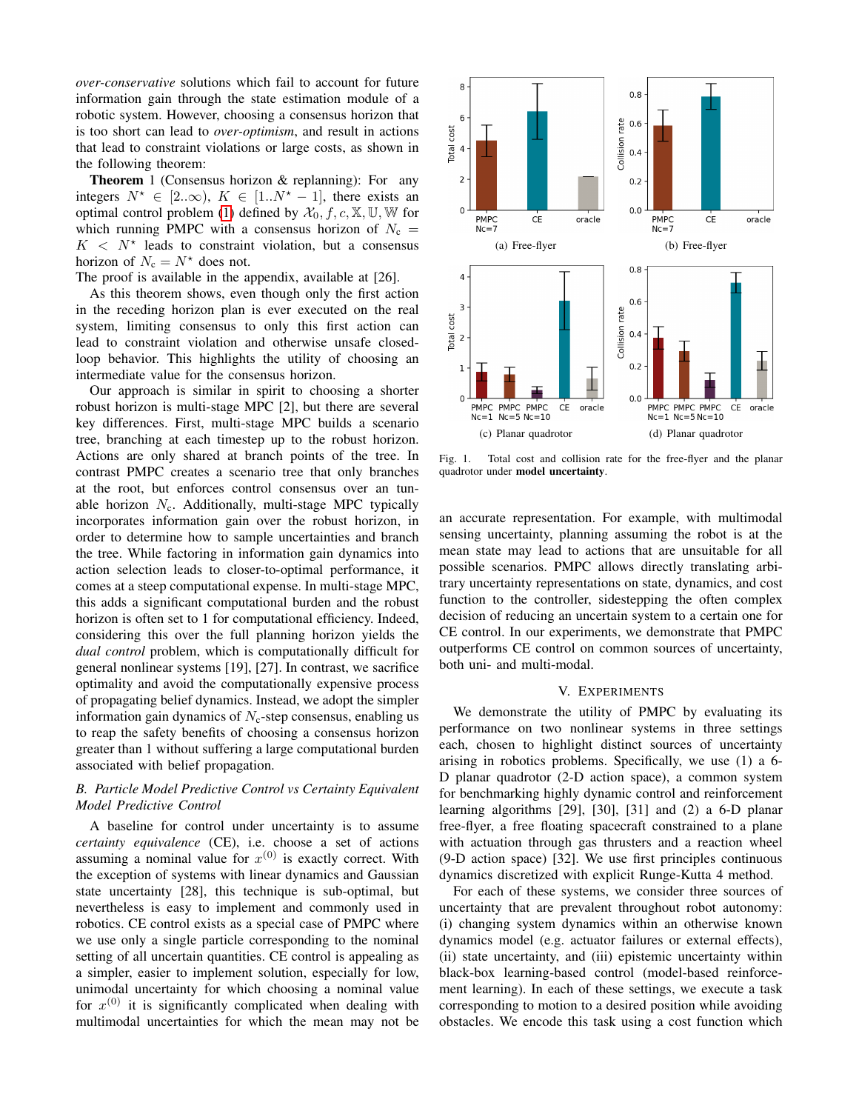*over-conservative* solutions which fail to account for future information gain through the state estimation module of a robotic system. However, choosing a consensus horizon that is too short can lead to *over-optimism*, and result in actions that lead to constraint violations or large costs, as shown in the following theorem:

Theorem 1 (Consensus horizon & replanning): For any integers  $N^* \in [2..\infty)$ ,  $K \in [1..N^* - 1]$ , there exists an optimal control problem [\(1\)](#page-1-0) defined by  $\mathcal{X}_0, f, c, \mathbb{X}, \mathbb{U}, \mathbb{W}$  for which running PMPC with a consensus horizon of  $N_c$  =  $K < N^*$  leads to constraint violation, but a consensus horizon of  $N_c = N^*$  does not.

The proof is available in the appendix, available at [26].

As this theorem shows, even though only the first action in the receding horizon plan is ever executed on the real system, limiting consensus to only this first action can lead to constraint violation and otherwise unsafe closedloop behavior. This highlights the utility of choosing an intermediate value for the consensus horizon.

Our approach is similar in spirit to choosing a shorter robust horizon is multi-stage MPC [2], but there are several key differences. First, multi-stage MPC builds a scenario tree, branching at each timestep up to the robust horizon. Actions are only shared at branch points of the tree. In contrast PMPC creates a scenario tree that only branches at the root, but enforces control consensus over an tunable horizon  $N_c$ . Additionally, multi-stage MPC typically incorporates information gain over the robust horizon, in order to determine how to sample uncertainties and branch the tree. While factoring in information gain dynamics into action selection leads to closer-to-optimal performance, it comes at a steep computational expense. In multi-stage MPC, this adds a significant computational burden and the robust horizon is often set to 1 for computational efficiency. Indeed, considering this over the full planning horizon yields the *dual control* problem, which is computationally difficult for general nonlinear systems [19], [27]. In contrast, we sacrifice optimality and avoid the computationally expensive process of propagating belief dynamics. Instead, we adopt the simpler information gain dynamics of  $N_c$ -step consensus, enabling us to reap the safety benefits of choosing a consensus horizon greater than 1 without suffering a large computational burden associated with belief propagation.

## *B. Particle Model Predictive Control vs Certainty Equivalent Model Predictive Control*

A baseline for control under uncertainty is to assume *certainty equivalence* (CE), i.e. choose a set of actions assuming a nominal value for  $x^{(0)}$  is exactly correct. With the exception of systems with linear dynamics and Gaussian state uncertainty [28], this technique is sub-optimal, but nevertheless is easy to implement and commonly used in robotics. CE control exists as a special case of PMPC where we use only a single particle corresponding to the nominal setting of all uncertain quantities. CE control is appealing as a simpler, easier to implement solution, especially for low, unimodal uncertainty for which choosing a nominal value for  $x^{(0)}$  it is significantly complicated when dealing with multimodal uncertainties for which the mean may not be



<span id="page-4-0"></span>Fig. 1. Total cost and collision rate for the free-flyer and the planar quadrotor under model uncertainty.

an accurate representation. For example, with multimodal sensing uncertainty, planning assuming the robot is at the mean state may lead to actions that are unsuitable for all possible scenarios. PMPC allows directly translating arbitrary uncertainty representations on state, dynamics, and cost function to the controller, sidestepping the often complex decision of reducing an uncertain system to a certain one for CE control. In our experiments, we demonstrate that PMPC outperforms CE control on common sources of uncertainty, both uni- and multi-modal.

## V. EXPERIMENTS

We demonstrate the utility of PMPC by evaluating its performance on two nonlinear systems in three settings each, chosen to highlight distinct sources of uncertainty arising in robotics problems. Specifically, we use (1) a 6- D planar quadrotor (2-D action space), a common system for benchmarking highly dynamic control and reinforcement learning algorithms [29], [30], [31] and (2) a 6-D planar free-flyer, a free floating spacecraft constrained to a plane with actuation through gas thrusters and a reaction wheel (9-D action space) [32]. We use first principles continuous dynamics discretized with explicit Runge-Kutta 4 method.

For each of these systems, we consider three sources of uncertainty that are prevalent throughout robot autonomy: (i) changing system dynamics within an otherwise known dynamics model (e.g. actuator failures or external effects), (ii) state uncertainty, and (iii) epistemic uncertainty within black-box learning-based control (model-based reinforcement learning). In each of these settings, we execute a task corresponding to motion to a desired position while avoiding obstacles. We encode this task using a cost function which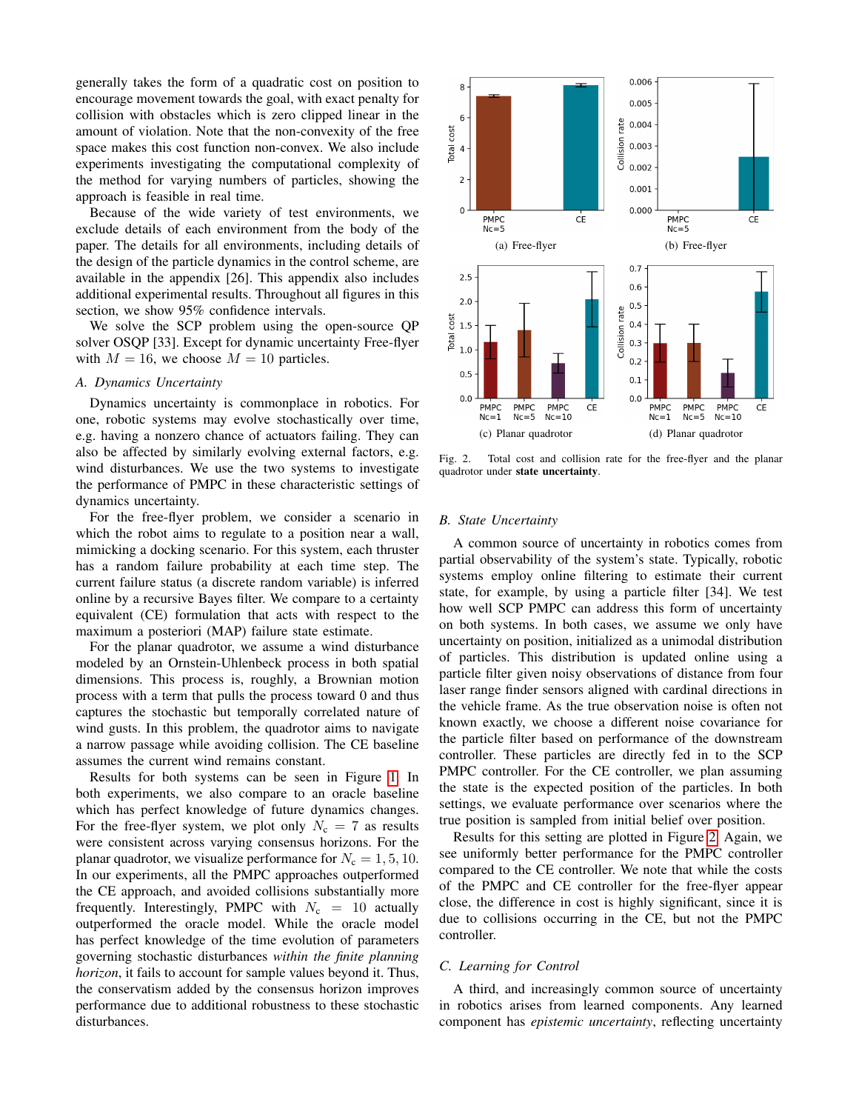generally takes the form of a quadratic cost on position to encourage movement towards the goal, with exact penalty for collision with obstacles which is zero clipped linear in the amount of violation. Note that the non-convexity of the free space makes this cost function non-convex. We also include experiments investigating the computational complexity of the method for varying numbers of particles, showing the approach is feasible in real time.

Because of the wide variety of test environments, we exclude details of each environment from the body of the paper. The details for all environments, including details of the design of the particle dynamics in the control scheme, are available in the appendix [26]. This appendix also includes additional experimental results. Throughout all figures in this section, we show 95% confidence intervals.

We solve the SCP problem using the open-source QP solver OSQP [33]. Except for dynamic uncertainty Free-flyer with  $M = 16$ , we choose  $M = 10$  particles.

#### *A. Dynamics Uncertainty*

Dynamics uncertainty is commonplace in robotics. For one, robotic systems may evolve stochastically over time, e.g. having a nonzero chance of actuators failing. They can also be affected by similarly evolving external factors, e.g. wind disturbances. We use the two systems to investigate the performance of PMPC in these characteristic settings of dynamics uncertainty.

For the free-flyer problem, we consider a scenario in which the robot aims to regulate to a position near a wall, mimicking a docking scenario. For this system, each thruster has a random failure probability at each time step. The current failure status (a discrete random variable) is inferred online by a recursive Bayes filter. We compare to a certainty equivalent (CE) formulation that acts with respect to the maximum a posteriori (MAP) failure state estimate.

For the planar quadrotor, we assume a wind disturbance modeled by an Ornstein-Uhlenbeck process in both spatial dimensions. This process is, roughly, a Brownian motion process with a term that pulls the process toward 0 and thus captures the stochastic but temporally correlated nature of wind gusts. In this problem, the quadrotor aims to navigate a narrow passage while avoiding collision. The CE baseline assumes the current wind remains constant.

Results for both systems can be seen in Figure [1.](#page-4-0) In both experiments, we also compare to an oracle baseline which has perfect knowledge of future dynamics changes. For the free-flyer system, we plot only  $N_c = 7$  as results were consistent across varying consensus horizons. For the planar quadrotor, we visualize performance for  $N_c = 1, 5, 10$ . In our experiments, all the PMPC approaches outperformed the CE approach, and avoided collisions substantially more frequently. Interestingly, PMPC with  $N_c = 10$  actually outperformed the oracle model. While the oracle model has perfect knowledge of the time evolution of parameters governing stochastic disturbances *within the finite planning horizon*, it fails to account for sample values beyond it. Thus, the conservatism added by the consensus horizon improves performance due to additional robustness to these stochastic disturbances.



<span id="page-5-0"></span>Fig. 2. Total cost and collision rate for the free-flyer and the planar quadrotor under state uncertainty.

## *B. State Uncertainty*

A common source of uncertainty in robotics comes from partial observability of the system's state. Typically, robotic systems employ online filtering to estimate their current state, for example, by using a particle filter [34]. We test how well SCP PMPC can address this form of uncertainty on both systems. In both cases, we assume we only have uncertainty on position, initialized as a unimodal distribution of particles. This distribution is updated online using a particle filter given noisy observations of distance from four laser range finder sensors aligned with cardinal directions in the vehicle frame. As the true observation noise is often not known exactly, we choose a different noise covariance for the particle filter based on performance of the downstream controller. These particles are directly fed in to the SCP PMPC controller. For the CE controller, we plan assuming the state is the expected position of the particles. In both settings, we evaluate performance over scenarios where the true position is sampled from initial belief over position.

Results for this setting are plotted in Figure [2.](#page-5-0) Again, we see uniformly better performance for the PMPC controller compared to the CE controller. We note that while the costs of the PMPC and CE controller for the free-flyer appear close, the difference in cost is highly significant, since it is due to collisions occurring in the CE, but not the PMPC controller.

## *C. Learning for Control*

A third, and increasingly common source of uncertainty in robotics arises from learned components. Any learned component has *epistemic uncertainty*, reflecting uncertainty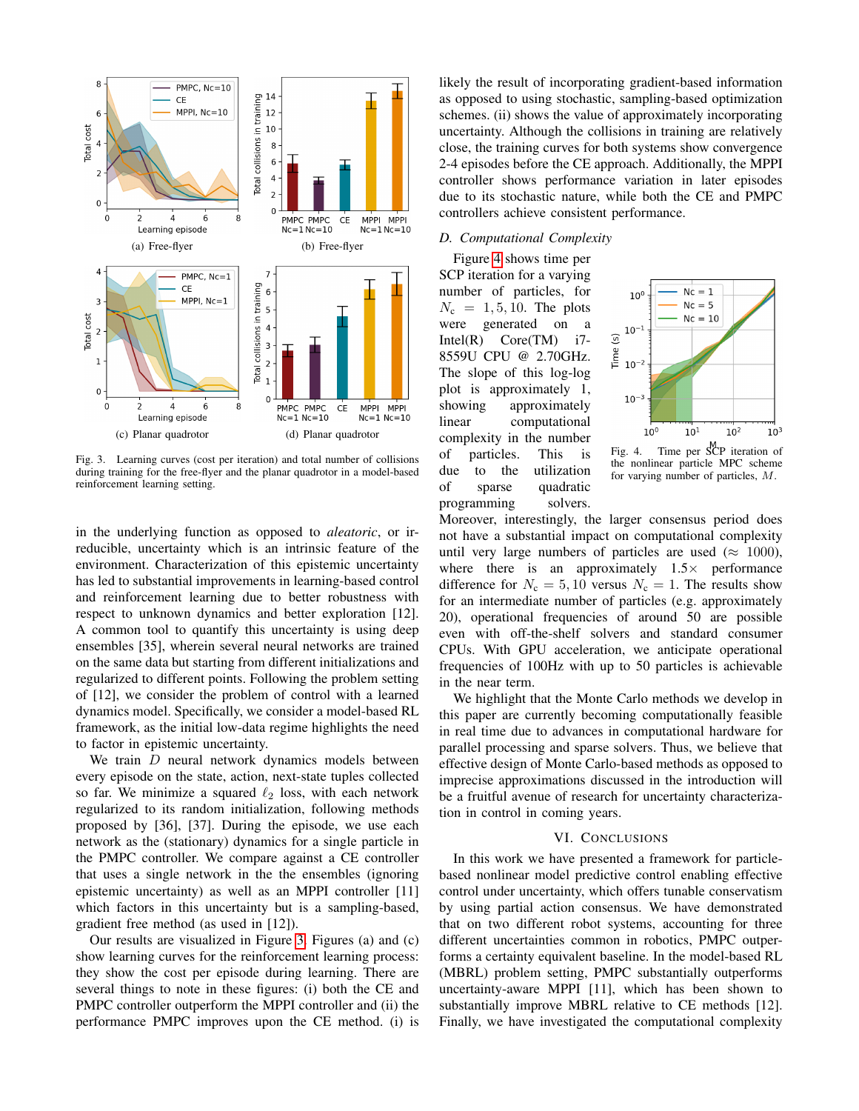

<span id="page-6-0"></span>Fig. 3. Learning curves (cost per iteration) and total number of collisions during training for the free-flyer and the planar quadrotor in a model-based reinforcement learning setting.

in the underlying function as opposed to *aleatoric*, or irreducible, uncertainty which is an intrinsic feature of the environment. Characterization of this epistemic uncertainty has led to substantial improvements in learning-based control and reinforcement learning due to better robustness with respect to unknown dynamics and better exploration [12]. A common tool to quantify this uncertainty is using deep ensembles [35], wherein several neural networks are trained on the same data but starting from different initializations and regularized to different points. Following the problem setting of [12], we consider the problem of control with a learned dynamics model. Specifically, we consider a model-based RL framework, as the initial low-data regime highlights the need to factor in epistemic uncertainty.

We train  $D$  neural network dynamics models between every episode on the state, action, next-state tuples collected so far. We minimize a squared  $\ell_2$  loss, with each network regularized to its random initialization, following methods proposed by [36], [37]. During the episode, we use each network as the (stationary) dynamics for a single particle in the PMPC controller. We compare against a CE controller that uses a single network in the the ensembles (ignoring epistemic uncertainty) as well as an MPPI controller [11] which factors in this uncertainty but is a sampling-based, gradient free method (as used in [12]).

Our results are visualized in Figure [3.](#page-6-0) Figures (a) and (c) show learning curves for the reinforcement learning process: they show the cost per episode during learning. There are several things to note in these figures: (i) both the CE and PMPC controller outperform the MPPI controller and (ii) the performance PMPC improves upon the CE method. (i) is likely the result of incorporating gradient-based information as opposed to using stochastic, sampling-based optimization schemes. (ii) shows the value of approximately incorporating uncertainty. Although the collisions in training are relatively close, the training curves for both systems show convergence 2-4 episodes before the CE approach. Additionally, the MPPI controller shows performance variation in later episodes due to its stochastic nature, while both the CE and PMPC controllers achieve consistent performance.

# *D. Computational Complexity*

Figure [4](#page-6-1) shows time per SCP iteration for a varying number of particles, for  $N_c = 1, 5, 10$ . The plots were generated on a Intel $(R)$  Core $(TM)$  i7-8559U CPU @ 2.70GHz. The slope of this log-log plot is approximately 1, showing approximately linear computational complexity in the number of particles. This is due to the utilization of sparse quadratic programming solvers.



<span id="page-6-1"></span>Fig. 4. Time per SCP iteration of the nonlinear particle MPC scheme for varying number of particles, M.

Moreover, interestingly, the larger consensus period does not have a substantial impact on computational complexity until very large numbers of particles are used ( $\approx 1000$ ), where there is an approximately  $1.5 \times$  performance difference for  $N_c = 5, 10$  versus  $N_c = 1$ . The results show for an intermediate number of particles (e.g. approximately 20), operational frequencies of around 50 are possible even with off-the-shelf solvers and standard consumer CPUs. With GPU acceleration, we anticipate operational frequencies of 100Hz with up to 50 particles is achievable in the near term.

We highlight that the Monte Carlo methods we develop in this paper are currently becoming computationally feasible in real time due to advances in computational hardware for parallel processing and sparse solvers. Thus, we believe that effective design of Monte Carlo-based methods as opposed to imprecise approximations discussed in the introduction will be a fruitful avenue of research for uncertainty characterization in control in coming years.

#### VI. CONCLUSIONS

In this work we have presented a framework for particlebased nonlinear model predictive control enabling effective control under uncertainty, which offers tunable conservatism by using partial action consensus. We have demonstrated that on two different robot systems, accounting for three different uncertainties common in robotics, PMPC outperforms a certainty equivalent baseline. In the model-based RL (MBRL) problem setting, PMPC substantially outperforms uncertainty-aware MPPI [11], which has been shown to substantially improve MBRL relative to CE methods [12]. Finally, we have investigated the computational complexity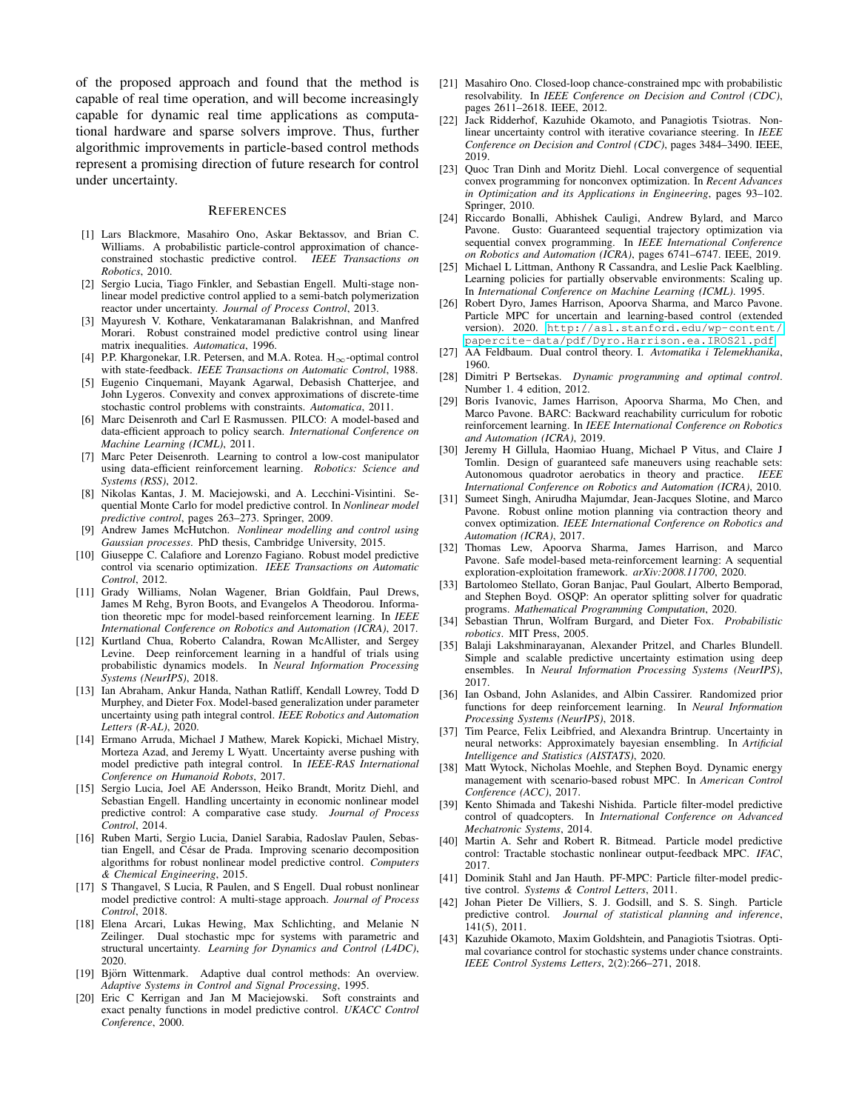of the proposed approach and found that the method is capable of real time operation, and will become increasingly capable for dynamic real time applications as computational hardware and sparse solvers improve. Thus, further algorithmic improvements in particle-based control methods represent a promising direction of future research for control under uncertainty.

#### **REFERENCES**

- [1] Lars Blackmore, Masahiro Ono, Askar Bektassov, and Brian C. Williams. A probabilistic particle-control approximation of chanceconstrained stochastic predictive control. *IEEE Transactions on Robotics*, 2010.
- [2] Sergio Lucia, Tiago Finkler, and Sebastian Engell. Multi-stage nonlinear model predictive control applied to a semi-batch polymerization reactor under uncertainty. *Journal of Process Control*, 2013.
- [3] Mayuresh V. Kothare, Venkataramanan Balakrishnan, and Manfred Morari. Robust constrained model predictive control using linear matrix inequalities. *Automatica*, 1996.
- [4] P.P. Khargonekar, I.R. Petersen, and M.A. Rotea.  $H_{\infty}$ -optimal control with state-feedback. *IEEE Transactions on Automatic Control*, 1988.
- [5] Eugenio Cinquemani, Mayank Agarwal, Debasish Chatterjee, and John Lygeros. Convexity and convex approximations of discrete-time stochastic control problems with constraints. *Automatica*, 2011.
- [6] Marc Deisenroth and Carl E Rasmussen. PILCO: A model-based and data-efficient approach to policy search. *International Conference on Machine Learning (ICML)*, 2011.
- [7] Marc Peter Deisenroth. Learning to control a low-cost manipulator using data-efficient reinforcement learning. *Robotics: Science and Systems (RSS)*, 2012.
- [8] Nikolas Kantas, J. M. Maciejowski, and A. Lecchini-Visintini. Sequential Monte Carlo for model predictive control. In *Nonlinear model predictive control*, pages 263–273. Springer, 2009.
- [9] Andrew James McHutchon. *Nonlinear modelling and control using Gaussian processes*. PhD thesis, Cambridge University, 2015.
- [10] Giuseppe C. Calafiore and Lorenzo Fagiano. Robust model predictive control via scenario optimization. *IEEE Transactions on Automatic Control*, 2012.
- [11] Grady Williams, Nolan Wagener, Brian Goldfain, Paul Drews, James M Rehg, Byron Boots, and Evangelos A Theodorou. Information theoretic mpc for model-based reinforcement learning. In *IEEE International Conference on Robotics and Automation (ICRA)*, 2017.
- [12] Kurtland Chua, Roberto Calandra, Rowan McAllister, and Sergey Levine. Deep reinforcement learning in a handful of trials using probabilistic dynamics models. In *Neural Information Processing Systems (NeurIPS)*, 2018.
- [13] Ian Abraham, Ankur Handa, Nathan Ratliff, Kendall Lowrey, Todd D Murphey, and Dieter Fox. Model-based generalization under parameter uncertainty using path integral control. *IEEE Robotics and Automation Letters (R-AL)*, 2020.
- [14] Ermano Arruda, Michael J Mathew, Marek Kopicki, Michael Mistry, Morteza Azad, and Jeremy L Wyatt. Uncertainty averse pushing with model predictive path integral control. In *IEEE-RAS International Conference on Humanoid Robots*, 2017.
- [15] Sergio Lucia, Joel AE Andersson, Heiko Brandt, Moritz Diehl, and Sebastian Engell. Handling uncertainty in economic nonlinear model predictive control: A comparative case study. *Journal of Process Control*, 2014.
- [16] Ruben Marti, Sergio Lucia, Daniel Sarabia, Radoslav Paulen, Sebastian Engell, and César de Prada. Improving scenario decomposition algorithms for robust nonlinear model predictive control. *Computers & Chemical Engineering*, 2015.
- [17] S Thangavel, S Lucia, R Paulen, and S Engell. Dual robust nonlinear model predictive control: A multi-stage approach. *Journal of Process Control*, 2018.
- [18] Elena Arcari, Lukas Hewing, Max Schlichting, and Melanie N Zeilinger. Dual stochastic mpc for systems with parametric and structural uncertainty. *Learning for Dynamics and Control (L4DC)*, 2020.
- [19] Björn Wittenmark. Adaptive dual control methods: An overview. *Adaptive Systems in Control and Signal Processing*, 1995.
- [20] Eric C Kerrigan and Jan M Maciejowski. Soft constraints and exact penalty functions in model predictive control. *UKACC Control Conference*, 2000.
- [21] Masahiro Ono. Closed-loop chance-constrained mpc with probabilistic resolvability. In *IEEE Conference on Decision and Control (CDC)*, pages 2611–2618. IEEE, 2012.
- [22] Jack Ridderhof, Kazuhide Okamoto, and Panagiotis Tsiotras. Nonlinear uncertainty control with iterative covariance steering. In *IEEE Conference on Decision and Control (CDC)*, pages 3484–3490. IEEE, 2019.
- [23] Quoc Tran Dinh and Moritz Diehl. Local convergence of sequential convex programming for nonconvex optimization. In *Recent Advances in Optimization and its Applications in Engineering*, pages 93–102. Springer, 2010.
- [24] Riccardo Bonalli, Abhishek Cauligi, Andrew Bylard, and Marco Pavone. Gusto: Guaranteed sequential trajectory optimization via sequential convex programming. In *IEEE International Conference on Robotics and Automation (ICRA)*, pages 6741–6747. IEEE, 2019.
- [25] Michael L Littman, Anthony R Cassandra, and Leslie Pack Kaelbling. Learning policies for partially observable environments: Scaling up. In *International Conference on Machine Learning (ICML)*. 1995.
- [26] Robert Dyro, James Harrison, Apoorva Sharma, and Marco Pavone. Particle MPC for uncertain and learning-based control (extended version). 2020. [http://asl.stanford.edu/wp-content/](http://asl.stanford.edu/wp-content/papercite-data/pdf/Dyro.Harrison.ea.IROS21.pdf) [papercite-data/pdf/Dyro.Harrison.ea.IROS21.pdf](http://asl.stanford.edu/wp-content/papercite-data/pdf/Dyro.Harrison.ea.IROS21.pdf).
- [27] AA Feldbaum. Dual control theory. I. *Avtomatika i Telemekhanika*, 1960.
- [28] Dimitri P Bertsekas. *Dynamic programming and optimal control*. Number 1. 4 edition, 2012.
- [29] Boris Ivanovic, James Harrison, Apoorva Sharma, Mo Chen, and Marco Pavone. BARC: Backward reachability curriculum for robotic reinforcement learning. In *IEEE International Conference on Robotics and Automation (ICRA)*, 2019.
- [30] Jeremy H Gillula, Haomiao Huang, Michael P Vitus, and Claire J Tomlin. Design of guaranteed safe maneuvers using reachable sets: Autonomous quadrotor aerobatics in theory and practice. *IEEE International Conference on Robotics and Automation (ICRA)*, 2010.
- [31] Sumeet Singh, Anirudha Majumdar, Jean-Jacques Slotine, and Marco Pavone. Robust online motion planning via contraction theory and convex optimization. *IEEE International Conference on Robotics and Automation (ICRA)*, 2017.
- [32] Thomas Lew, Apoorva Sharma, James Harrison, and Marco Pavone. Safe model-based meta-reinforcement learning: A sequential exploration-exploitation framework. *arXiv:2008.11700*, 2020.
- [33] Bartolomeo Stellato, Goran Banjac, Paul Goulart, Alberto Bemporad, and Stephen Boyd. OSQP: An operator splitting solver for quadratic programs. *Mathematical Programming Computation*, 2020.
- [34] Sebastian Thrun, Wolfram Burgard, and Dieter Fox. *Probabilistic robotics*. MIT Press, 2005.
- [35] Balaji Lakshminarayanan, Alexander Pritzel, and Charles Blundell. Simple and scalable predictive uncertainty estimation using deep ensembles. In *Neural Information Processing Systems (NeurIPS)*, 2017.
- [36] Ian Osband, John Aslanides, and Albin Cassirer. Randomized prior functions for deep reinforcement learning. In *Neural Information Processing Systems (NeurIPS)*, 2018.
- [37] Tim Pearce, Felix Leibfried, and Alexandra Brintrup. Uncertainty in neural networks: Approximately bayesian ensembling. In *Artificial Intelligence and Statistics (AISTATS)*, 2020.
- [38] Matt Wytock, Nicholas Moehle, and Stephen Boyd. Dynamic energy management with scenario-based robust MPC. In *American Control Conference (ACC)*, 2017.
- [39] Kento Shimada and Takeshi Nishida. Particle filter-model predictive control of quadcopters. In *International Conference on Advanced Mechatronic Systems*, 2014.
- [40] Martin A. Sehr and Robert R. Bitmead. Particle model predictive control: Tractable stochastic nonlinear output-feedback MPC. *IFAC*, 2017.
- [41] Dominik Stahl and Jan Hauth. PF-MPC: Particle filter-model predictive control. *Systems & Control Letters*, 2011.
- [42] Johan Pieter De Villiers, S. J. Godsill, and S. S. Singh. Particle predictive control. *Journal of statistical planning and inference*, 141(5), 2011.
- [43] Kazuhide Okamoto, Maxim Goldshtein, and Panagiotis Tsiotras. Optimal covariance control for stochastic systems under chance constraints. *IEEE Control Systems Letters*, 2(2):266–271, 2018.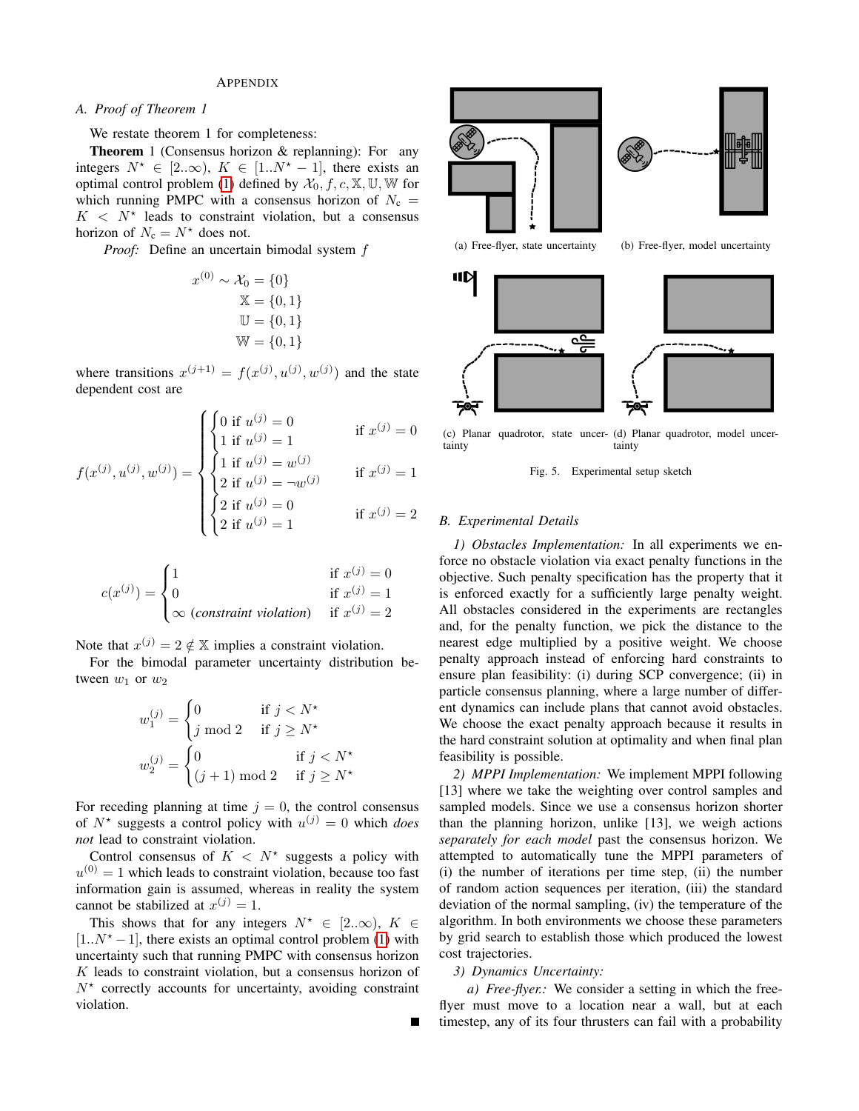## APPENDIX

# *A. Proof of Theorem 1*

We restate theorem 1 for completeness:

Theorem 1 (Consensus horizon & replanning): For any integers  $N^* \in [2..\infty)$ ,  $K \in [1..N^* - 1]$ , there exists an optimal control problem [\(1\)](#page-1-0) defined by  $\mathcal{X}_0, f, c, \mathbb{X}, \mathbb{U}, \mathbb{W}$  for which running PMPC with a consensus horizon of  $N_c$  =  $K < N^*$  leads to constraint violation, but a consensus horizon of  $N_c = N^*$  does not.

*Proof:* Define an uncertain bimodal system f

$$
x^{(0)} \sim \mathcal{X}_0 = \{0\}
$$
  

$$
\mathbb{X} = \{0, 1\}
$$
  

$$
\mathbb{U} = \{0, 1\}
$$
  

$$
\mathbb{W} = \{0, 1\}
$$

where transitions  $x^{(j+1)} = f(x^{(j)}, u^{(j)}, w^{(j)})$  and the state dependent cost are

$$
f(x^{(j)}, u^{(j)}, w^{(j)}) = \begin{cases} \begin{cases} 0 \text{ if } u^{(j)} = 0 \\ 1 \text{ if } u^{(j)} = 1 \\ 1 \text{ if } u^{(j)} = w^{(j)} \\ 2 \text{ if } u^{(j)} = -w^{(j)} \\ 2 \text{ if } u^{(j)} = 0 \\ 2 \text{ if } u^{(j)} = 1 \end{cases} \text{ if } x^{(j)} = 1 \\ \begin{cases} 0 \text{ if } x^{(j)} = 0 \\ 1 \text{ if } u^{(j)} = 1 \\ 2 \text{ if } u^{(j)} = 1 \end{cases} \text{ if } x^{(j)} = 2 \end{cases}
$$

$$
c(x^{(j)}) = \begin{cases} 1 & \text{if } x^{(j)} = 0\\ 0 & \text{if } x^{(j)} = 1\\ \infty \text{ (constraint violation)} & \text{if } x^{(j)} = 2 \end{cases}
$$

Note that  $x^{(j)} = 2 \notin \mathbb{X}$  implies a constraint violation.

For the bimodal parameter uncertainty distribution between  $w_1$  or  $w_2$ 

$$
w_1^{(j)} = \begin{cases} 0 & \text{if } j < N^\star \\ j \text{ mod } 2 & \text{if } j \ge N^\star \end{cases}
$$

$$
w_2^{(j)} = \begin{cases} 0 & \text{if } j < N^\star \\ (j+1) \text{ mod } 2 & \text{if } j \ge N^\star \end{cases}
$$

For receding planning at time  $j = 0$ , the control consensus of  $N^*$  suggests a control policy with  $u^{(j)} = 0$  which *does not* lead to constraint violation.

Control consensus of  $K < N^*$  suggests a policy with  $u^{(0)} = 1$  which leads to constraint violation, because too fast information gain is assumed, whereas in reality the system cannot be stabilized at  $x^{(j)} = 1$ .

This shows that for any integers  $N^* \in [2..\infty)$ ,  $K \in$  $[1..N^* - 1]$ , there exists an optimal control problem [\(1\)](#page-1-0) with uncertainty such that running PMPC with consensus horizon  $K$  leads to constraint violation, but a consensus horizon of  $N^*$  correctly accounts for uncertainty, avoiding constraint violation.





(a) Free-flyer, state uncertainty (b) Free-flyer, model uncertainty



(c) Planar quadrotor, state uncer-(d) Planar quadrotor, model uncertainty tainty

Fig. 5. Experimental setup sketch

#### *B. Experimental Details*

*1) Obstacles Implementation:* In all experiments we enforce no obstacle violation via exact penalty functions in the objective. Such penalty specification has the property that it is enforced exactly for a sufficiently large penalty weight. All obstacles considered in the experiments are rectangles and, for the penalty function, we pick the distance to the nearest edge multiplied by a positive weight. We choose penalty approach instead of enforcing hard constraints to ensure plan feasibility: (i) during SCP convergence; (ii) in particle consensus planning, where a large number of different dynamics can include plans that cannot avoid obstacles. We choose the exact penalty approach because it results in the hard constraint solution at optimality and when final plan feasibility is possible.

*2) MPPI Implementation:* We implement MPPI following [13] where we take the weighting over control samples and sampled models. Since we use a consensus horizon shorter than the planning horizon, unlike [13], we weigh actions *separately for each model* past the consensus horizon. We attempted to automatically tune the MPPI parameters of (i) the number of iterations per time step, (ii) the number of random action sequences per iteration, (iii) the standard deviation of the normal sampling, (iv) the temperature of the algorithm. In both environments we choose these parameters by grid search to establish those which produced the lowest cost trajectories.

## *3) Dynamics Uncertainty:*

*a) Free-flyer.:* We consider a setting in which the freeflyer must move to a location near a wall, but at each timestep, any of its four thrusters can fail with a probability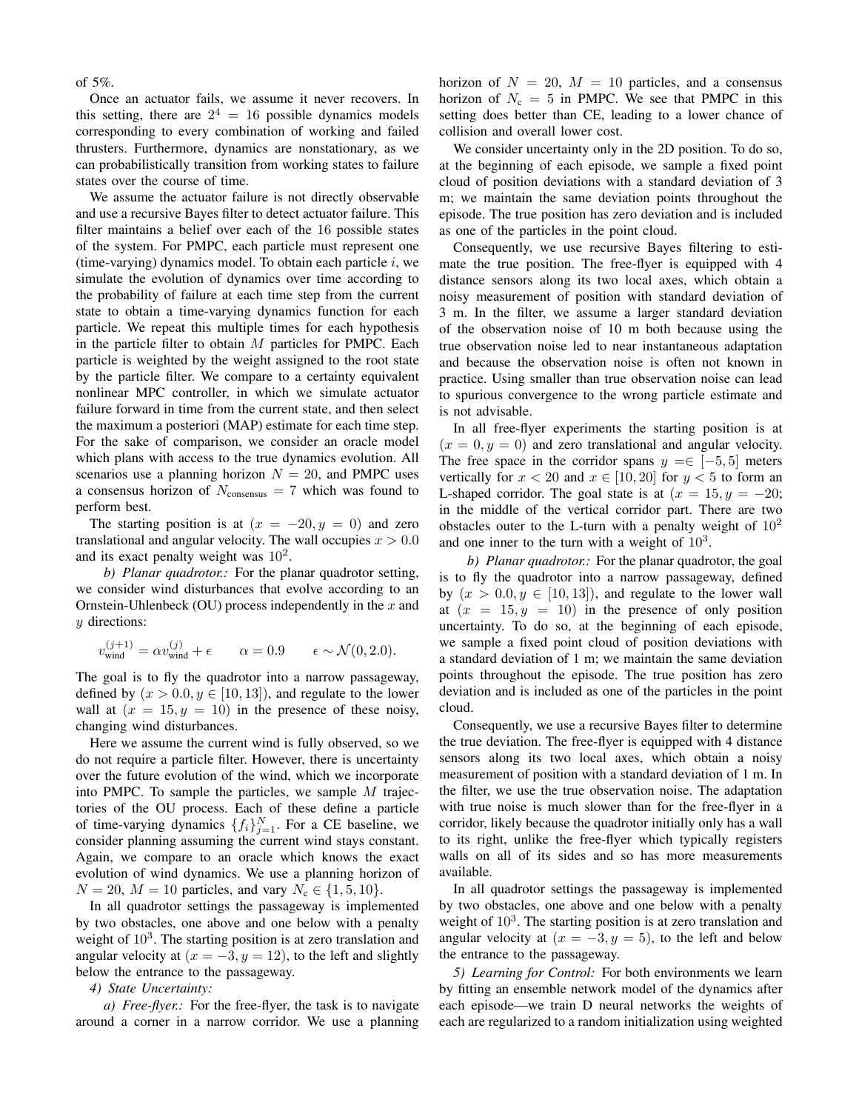## of 5%.

Once an actuator fails, we assume it never recovers. In this setting, there are  $2^4 = 16$  possible dynamics models corresponding to every combination of working and failed thrusters. Furthermore, dynamics are nonstationary, as we can probabilistically transition from working states to failure states over the course of time.

We assume the actuator failure is not directly observable and use a recursive Bayes filter to detect actuator failure. This filter maintains a belief over each of the 16 possible states of the system. For PMPC, each particle must represent one (time-varying) dynamics model. To obtain each particle  $i$ , we simulate the evolution of dynamics over time according to the probability of failure at each time step from the current state to obtain a time-varying dynamics function for each particle. We repeat this multiple times for each hypothesis in the particle filter to obtain  $M$  particles for PMPC. Each particle is weighted by the weight assigned to the root state by the particle filter. We compare to a certainty equivalent nonlinear MPC controller, in which we simulate actuator failure forward in time from the current state, and then select the maximum a posteriori (MAP) estimate for each time step. For the sake of comparison, we consider an oracle model which plans with access to the true dynamics evolution. All scenarios use a planning horizon  $N = 20$ , and PMPC uses a consensus horizon of  $N_{\text{consensus}} = 7$  which was found to perform best.

The starting position is at  $(x = -20, y = 0)$  and zero translational and angular velocity. The wall occupies  $x > 0.0$ and its exact penalty weight was  $10^2$ .

*b) Planar quadrotor.:* For the planar quadrotor setting, we consider wind disturbances that evolve according to an Ornstein-Uhlenbeck (OU) process independently in the  $x$  and y directions:

$$
v_{\text{wind}}^{(j+1)} = \alpha v_{\text{wind}}^{(j)} + \epsilon \qquad \alpha = 0.9 \qquad \epsilon \sim \mathcal{N}(0, 2.0).
$$

The goal is to fly the quadrotor into a narrow passageway, defined by  $(x > 0.0, y \in [10, 13])$ , and regulate to the lower wall at  $(x = 15, y = 10)$  in the presence of these noisy, changing wind disturbances.

Here we assume the current wind is fully observed, so we do not require a particle filter. However, there is uncertainty over the future evolution of the wind, which we incorporate into PMPC. To sample the particles, we sample  $M$  trajectories of the OU process. Each of these define a particle of time-varying dynamics  $\{f_i\}_{j=1}^N$ . For a CE baseline, we consider planning assuming the current wind stays constant. Again, we compare to an oracle which knows the exact evolution of wind dynamics. We use a planning horizon of  $N = 20$ ,  $M = 10$  particles, and vary  $N_c \in \{1, 5, 10\}$ .

In all quadrotor settings the passageway is implemented by two obstacles, one above and one below with a penalty weight of  $10<sup>3</sup>$ . The starting position is at zero translation and angular velocity at  $(x = -3, y = 12)$ , to the left and slightly below the entrance to the passageway.

#### *4) State Uncertainty:*

<span id="page-9-0"></span>*a) Free-flyer.:* For the free-flyer, the task is to navigate around a corner in a narrow corridor. We use a planning horizon of  $N = 20$ ,  $M = 10$  particles, and a consensus horizon of  $N_c = 5$  in PMPC. We see that PMPC in this setting does better than CE, leading to a lower chance of collision and overall lower cost.

We consider uncertainty only in the 2D position. To do so, at the beginning of each episode, we sample a fixed point cloud of position deviations with a standard deviation of 3 m; we maintain the same deviation points throughout the episode. The true position has zero deviation and is included as one of the particles in the point cloud.

Consequently, we use recursive Bayes filtering to estimate the true position. The free-flyer is equipped with 4 distance sensors along its two local axes, which obtain a noisy measurement of position with standard deviation of 3 m. In the filter, we assume a larger standard deviation of the observation noise of 10 m both because using the true observation noise led to near instantaneous adaptation and because the observation noise is often not known in practice. Using smaller than true observation noise can lead to spurious convergence to the wrong particle estimate and is not advisable.

In all free-flyer experiments the starting position is at  $(x = 0, y = 0)$  and zero translational and angular velocity. The free space in the corridor spans  $y = \in [-5, 5]$  meters vertically for  $x < 20$  and  $x \in [10, 20]$  for  $y < 5$  to form an L-shaped corridor. The goal state is at  $(x = 15, y = -20;$ in the middle of the vertical corridor part. There are two obstacles outer to the L-turn with a penalty weight of  $10<sup>2</sup>$ and one inner to the turn with a weight of  $10^3$ .

*b) Planar quadrotor.:* For the planar quadrotor, the goal is to fly the quadrotor into a narrow passageway, defined by  $(x > 0.0, y \in [10, 13])$ , and regulate to the lower wall at  $(x = 15, y = 10)$  in the presence of only position uncertainty. To do so, at the beginning of each episode, we sample a fixed point cloud of position deviations with a standard deviation of 1 m; we maintain the same deviation points throughout the episode. The true position has zero deviation and is included as one of the particles in the point cloud.

Consequently, we use a recursive Bayes filter to determine the true deviation. The free-flyer is equipped with 4 distance sensors along its two local axes, which obtain a noisy measurement of position with a standard deviation of 1 m. In the filter, we use the true observation noise. The adaptation with true noise is much slower than for the free-flyer in a corridor, likely because the quadrotor initially only has a wall to its right, unlike the free-flyer which typically registers walls on all of its sides and so has more measurements available.

In all quadrotor settings the passageway is implemented by two obstacles, one above and one below with a penalty weight of  $10<sup>3</sup>$ . The starting position is at zero translation and angular velocity at  $(x = -3, y = 5)$ , to the left and below the entrance to the passageway.

*5) Learning for Control:* For both environments we learn by fitting an ensemble network model of the dynamics after each episode—we train D neural networks the weights of each are regularized to a random initialization using weighted